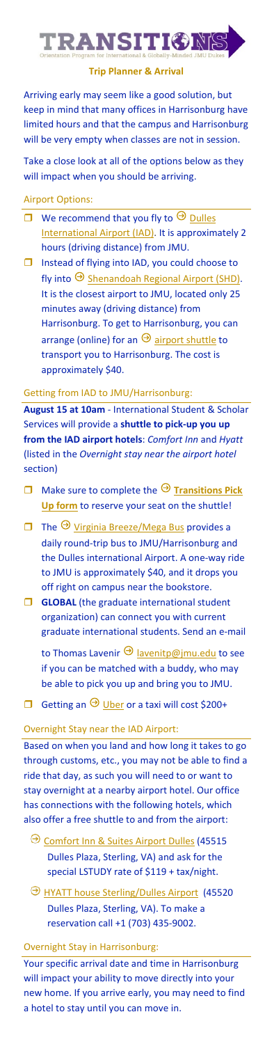

### **Trip Planner & Arrival**

Arriving early may seem like a good solution, but keep in mind that many offices in Harrisonburg have limited hours and that the campus and Harrisonburg will be very empty when classes are not in session.

Take a close look at all of the options below as they will impact when you should be arriving.

### Airport Options:

- We recommend that you fly to  $\Theta$  Dulles [International Airport](https://flydulles.com/iad/dulles-international-airport) (IAD). It is approximately 2 hours (driving distance) from JMU.
- $\Box$  Instead of flying into IAD, you could choose to fly into  $\Theta$  [Shenandoah Regional Airport](https://flyshd.com/) (SHD). It is the closest airport to JMU, located only 25 minutes away (driving distance) from Harrisonburg. To get to Harrisonburg, you can arrange (online) for an  $\Theta$  [airport shuttle](https://flyshd.com/shd-shuttle/) to transport you to Harrisonburg. The cost is approximately \$40.

## Getting from IAD to JMU/Harrisonburg:

**August 15 at 10am** - International Student & Scholar Services will provide a **shuttle to pick-up you up from the IAD airport hotels**: *Comfort Inn* and *Hyatt* (listed in the *Overnight stay near the airport hotel*  section)

- $\Box$  Make sure to complete the  $\Theta$  Transitions Pick **[Up form](https://jmutransportation.questionpro.com/)** to reserve your seat on the shuttle!
- $\Box$  The  $\Theta$  [Virginia Breeze/Mega Bus](https://us.megabus.com/virginia-breeze) provides a daily round-trip bus to JMU/Harrisonburg and the Dulles international Airport. A one-way ride to JMU is approximately \$40, and it drops you off right on campus near the bookstore.
- **GLOBAL** (the graduate international student organization) can connect you with current graduate international students. Send an e-mail
	- to Thomas Lavenir  $\Theta$  [lavenitp@jmu.edu](mailto:lavenitp@jmu.edu) to see if you can be matched with a buddy, who may be able to pick you up and bring you to JMU.
- Getting an  $\Theta$  [Uber](https://www.uber.com/) or a taxi will cost \$200+

### Overnight Stay near the IAD Airport:

Based on when you land and how long it takes to go through customs, etc., you may not be able to find a ride that day, as such you will need to or want to stay overnight at a nearby airport hotel. Our office has connections with the following hotels, which also offer a free shuttle to and from the airport:

- O [Comfort Inn & Suites Airport Dulles](https://www.choicehotels.com/virginia/sterling/comfort-inn-hotels/va453/rates?ratePlanCode=LSTUDY) (45515 Dulles Plaza, Sterling, VA) and ask for the special LSTUDY rate of \$119 + tax/night.
- **[HYATT house Sterling/Dulles Airport](https://www.hyatt.com/en-US/hotel/virginia/hyatt-house-sterling-dulles-airport-north/iadxd) (45520)** Dulles Plaza, Sterling, VA). To make a reservation call +1 (703) 435-9002.

# Overnight Stay in Harrisonburg:

Your specific arrival date and time in Harrisonburg will impact your ability to move directly into your new home. If you arrive early, you may need to find a hotel to stay until you can move in.